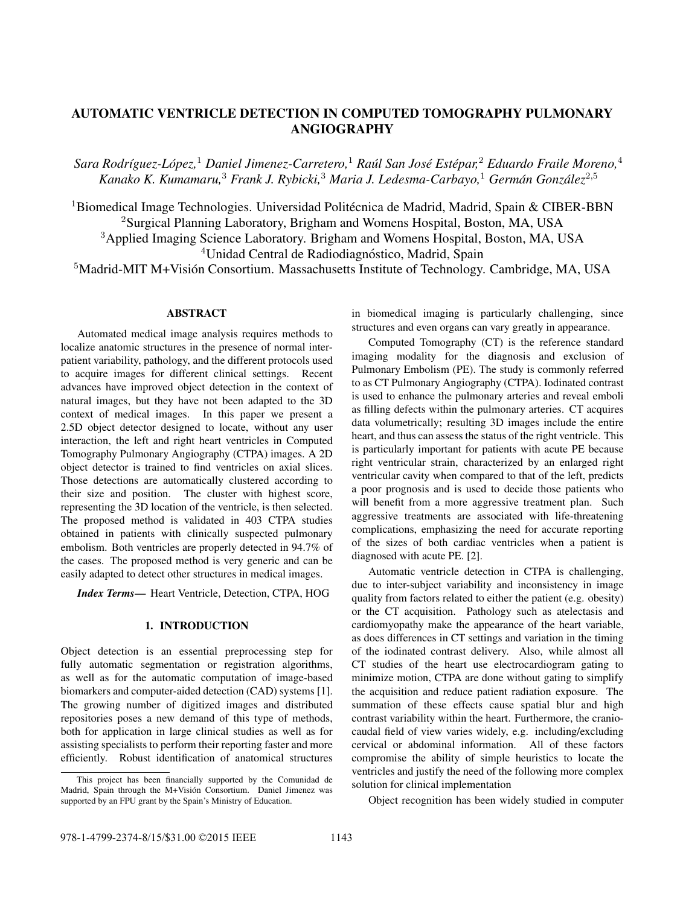# AUTOMATIC VENTRICLE DETECTION IN COMPUTED TOMOGRAPHY PULMONARY ANGIOGRAPHY

 $S$ ara Rodríguez-López, $^1$  Daniel Jimenez-Carretero, $^1$  Raúl San José Estépar, $^2$  Eduardo Fraile Moreno, $^4$ *Kanako K. Kumamaru,*<sup>3</sup> *Frank J. Rybicki,*<sup>3</sup> *Maria J. Ledesma-Carbayo,*<sup>1</sup> *German Gonz ´ alez ´* 2,5

<sup>1</sup>Biomedical Image Technologies. Universidad Politécnica de Madrid, Madrid, Spain & CIBER-BBN <sup>2</sup>Surgical Planning Laboratory, Brigham and Womens Hospital, Boston, MA, USA <sup>3</sup>Applied Imaging Science Laboratory. Brigham and Womens Hospital, Boston, MA, USA <sup>4</sup>Unidad Central de Radiodiagnóstico, Madrid, Spain

<sup>5</sup>Madrid-MIT M+Visión Consortium. Massachusetts Institute of Technology. Cambridge, MA, USA

### ABSTRACT

Automated medical image analysis requires methods to localize anatomic structures in the presence of normal interpatient variability, pathology, and the different protocols used to acquire images for different clinical settings. Recent advances have improved object detection in the context of natural images, but they have not been adapted to the 3D context of medical images. In this paper we present a 2.5D object detector designed to locate, without any user interaction, the left and right heart ventricles in Computed Tomography Pulmonary Angiography (CTPA) images. A 2D object detector is trained to find ventricles on axial slices. Those detections are automatically clustered according to their size and position. The cluster with highest score, representing the 3D location of the ventricle, is then selected. The proposed method is validated in 403 CTPA studies obtained in patients with clinically suspected pulmonary embolism. Both ventricles are properly detected in 94.7% of the cases. The proposed method is very generic and can be easily adapted to detect other structures in medical images.

*Index Terms*— Heart Ventricle, Detection, CTPA, HOG

# 1. INTRODUCTION

Object detection is an essential preprocessing step for fully automatic segmentation or registration algorithms, as well as for the automatic computation of image-based biomarkers and computer-aided detection (CAD) systems [1]. The growing number of digitized images and distributed repositories poses a new demand of this type of methods, both for application in large clinical studies as well as for assisting specialists to perform their reporting faster and more efficiently. Robust identification of anatomical structures in biomedical imaging is particularly challenging, since structures and even organs can vary greatly in appearance.

Computed Tomography (CT) is the reference standard imaging modality for the diagnosis and exclusion of Pulmonary Embolism (PE). The study is commonly referred to as CT Pulmonary Angiography (CTPA). Iodinated contrast is used to enhance the pulmonary arteries and reveal emboli as filling defects within the pulmonary arteries. CT acquires data volumetrically; resulting 3D images include the entire heart, and thus can assess the status of the right ventricle. This is particularly important for patients with acute PE because right ventricular strain, characterized by an enlarged right ventricular cavity when compared to that of the left, predicts a poor prognosis and is used to decide those patients who will benefit from a more aggressive treatment plan. Such aggressive treatments are associated with life-threatening complications, emphasizing the need for accurate reporting of the sizes of both cardiac ventricles when a patient is diagnosed with acute PE. [2].

Automatic ventricle detection in CTPA is challenging, due to inter-subject variability and inconsistency in image quality from factors related to either the patient (e.g. obesity) or the CT acquisition. Pathology such as atelectasis and cardiomyopathy make the appearance of the heart variable, as does differences in CT settings and variation in the timing of the iodinated contrast delivery. Also, while almost all CT studies of the heart use electrocardiogram gating to minimize motion, CTPA are done without gating to simplify the acquisition and reduce patient radiation exposure. The summation of these effects cause spatial blur and high contrast variability within the heart. Furthermore, the craniocaudal field of view varies widely, e.g. including/excluding cervical or abdominal information. All of these factors compromise the ability of simple heuristics to locate the ventricles and justify the need of the following more complex solution for clinical implementation

Object recognition has been widely studied in computer

This project has been financially supported by the Comunidad de Madrid, Spain through the M+Vision Consortium. Daniel Jimenez was ´ supported by an FPU grant by the Spain's Ministry of Education.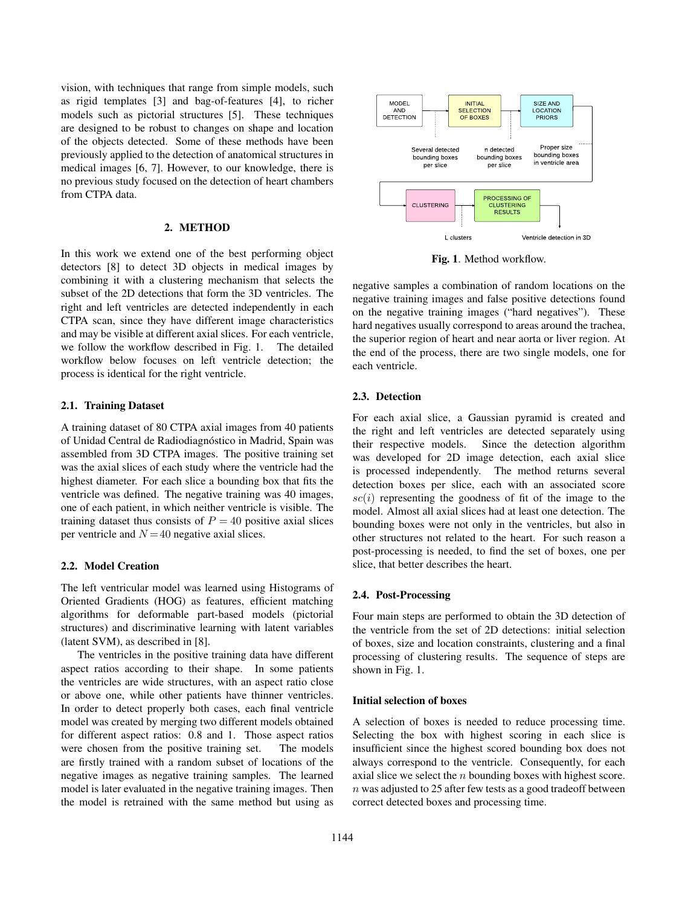vision, with techniques that range from simple models, such as rigid templates [3] and bag-of-features [4], to richer models such as pictorial structures [5]. These techniques are designed to be robust to changes on shape and location of the objects detected. Some of these methods have been previously applied to the detection of anatomical structures in medical images [6, 7]. However, to our knowledge, there is no previous study focused on the detection of heart chambers from CTPA data.

#### 2. METHOD

In this work we extend one of the best performing object detectors [8] to detect 3D objects in medical images by combining it with a clustering mechanism that selects the subset of the 2D detections that form the 3D ventricles. The right and left ventricles are detected independently in each CTPA scan, since they have different image characteristics and may be visible at different axial slices. For each ventricle, we follow the workflow described in Fig. 1. The detailed workflow below focuses on left ventricle detection; the process is identical for the right ventricle.

#### 2.1. Training Dataset

A training dataset of 80 CTPA axial images from 40 patients of Unidad Central de Radiodiagnóstico in Madrid, Spain was assembled from 3D CTPA images. The positive training set was the axial slices of each study where the ventricle had the highest diameter. For each slice a bounding box that fits the ventricle was defined. The negative training was 40 images, one of each patient, in which neither ventricle is visible. The training dataset thus consists of  $P = 40$  positive axial slices per ventricle and  $N = 40$  negative axial slices.

### 2.2. Model Creation

The left ventricular model was learned using Histograms of Oriented Gradients (HOG) as features, efficient matching algorithms for deformable part-based models (pictorial structures) and discriminative learning with latent variables (latent SVM), as described in [8].

The ventricles in the positive training data have different aspect ratios according to their shape. In some patients the ventricles are wide structures, with an aspect ratio close or above one, while other patients have thinner ventricles. In order to detect properly both cases, each final ventricle model was created by merging two different models obtained for different aspect ratios: 0.8 and 1. Those aspect ratios were chosen from the positive training set. The models are firstly trained with a random subset of locations of the negative images as negative training samples. The learned model is later evaluated in the negative training images. Then the model is retrained with the same method but using as



Fig. 1. Method workflow.

negative samples a combination of random locations on the negative training images and false positive detections found on the negative training images ("hard negatives"). These hard negatives usually correspond to areas around the trachea, the superior region of heart and near aorta or liver region. At the end of the process, there are two single models, one for each ventricle.

# 2.3. Detection

For each axial slice, a Gaussian pyramid is created and the right and left ventricles are detected separately using their respective models. Since the detection algorithm was developed for 2D image detection, each axial slice is processed independently. The method returns several detection boxes per slice, each with an associated score  $\mathfrak{so}(i)$  representing the goodness of fit of the image to the model. Almost all axial slices had at least one detection. The bounding boxes were not only in the ventricles, but also in other structures not related to the heart. For such reason a post-processing is needed, to find the set of boxes, one per slice, that better describes the heart.

#### 2.4. Post-Processing

Four main steps are performed to obtain the 3D detection of the ventricle from the set of 2D detections: initial selection of boxes, size and location constraints, clustering and a final processing of clustering results. The sequence of steps are shown in Fig. 1.

#### Initial selection of boxes

A selection of boxes is needed to reduce processing time. Selecting the box with highest scoring in each slice is insufficient since the highest scored bounding box does not always correspond to the ventricle. Consequently, for each axial slice we select the  $n$  bounding boxes with highest score.  $n$  was adjusted to 25 after few tests as a good tradeoff between correct detected boxes and processing time.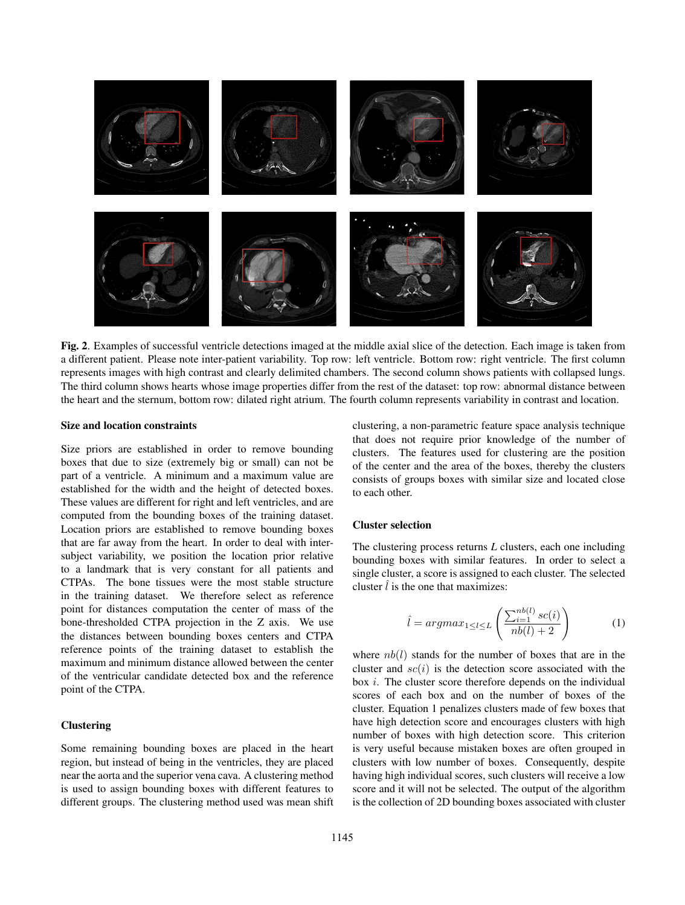

Fig. 2. Examples of successful ventricle detections imaged at the middle axial slice of the detection. Each image is taken from a different patient. Please note inter-patient variability. Top row: left ventricle. Bottom row: right ventricle. The first column represents images with high contrast and clearly delimited chambers. The second column shows patients with collapsed lungs. The third column shows hearts whose image properties differ from the rest of the dataset: top row: abnormal distance between the heart and the sternum, bottom row: dilated right atrium. The fourth column represents variability in contrast and location.

# Size and location constraints

Size priors are established in order to remove bounding boxes that due to size (extremely big or small) can not be part of a ventricle. A minimum and a maximum value are established for the width and the height of detected boxes. These values are different for right and left ventricles, and are computed from the bounding boxes of the training dataset. Location priors are established to remove bounding boxes that are far away from the heart. In order to deal with intersubject variability, we position the location prior relative to a landmark that is very constant for all patients and CTPAs. The bone tissues were the most stable structure in the training dataset. We therefore select as reference point for distances computation the center of mass of the bone-thresholded CTPA projection in the Z axis. We use the distances between bounding boxes centers and CTPA reference points of the training dataset to establish the maximum and minimum distance allowed between the center of the ventricular candidate detected box and the reference point of the CTPA.

# **Clustering**

Some remaining bounding boxes are placed in the heart region, but instead of being in the ventricles, they are placed near the aorta and the superior vena cava. A clustering method is used to assign bounding boxes with different features to different groups. The clustering method used was mean shift clustering, a non-parametric feature space analysis technique that does not require prior knowledge of the number of clusters. The features used for clustering are the position of the center and the area of the boxes, thereby the clusters consists of groups boxes with similar size and located close to each other.

# Cluster selection

The clustering process returns *L* clusters, each one including bounding boxes with similar features. In order to select a single cluster, a score is assigned to each cluster. The selected cluster  $\hat{l}$  is the one that maximizes:

$$
\hat{l} = argmax_{1 \le l \le L} \left( \frac{\sum_{i=1}^{nb(l)} sc(i)}{nb(l) + 2} \right) \tag{1}
$$

where  $nb(l)$  stands for the number of boxes that are in the cluster and  $\mathfrak{so}(i)$  is the detection score associated with the box i. The cluster score therefore depends on the individual scores of each box and on the number of boxes of the cluster. Equation 1 penalizes clusters made of few boxes that have high detection score and encourages clusters with high number of boxes with high detection score. This criterion is very useful because mistaken boxes are often grouped in clusters with low number of boxes. Consequently, despite having high individual scores, such clusters will receive a low score and it will not be selected. The output of the algorithm is the collection of 2D bounding boxes associated with cluster